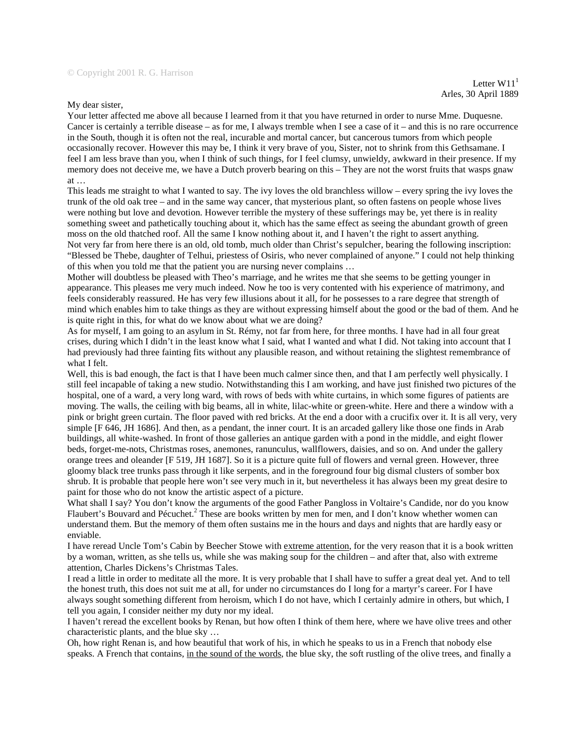My dear sister,

Letter  $W11<sup>1</sup>$ Arles, 30 April 1889

Your letter affected me above all because I learned from it that you have returned in order to nurse Mme. Duquesne. Cancer is certainly a terrible disease – as for me, I always tremble when I see a case of it – and this is no rare occurrence in the South, though it is often not the real, incurable and mortal cancer, but cancerous tumors from which people occasionally recover. However this may be, I think it very brave of you, Sister, not to shrink from this Gethsamane. I feel I am less brave than you, when I think of such things, for I feel clumsy, unwieldy, awkward in their presence. If my memory does not deceive me, we have a Dutch proverb bearing on this – They are not the worst fruits that wasps gnaw at …

This leads me straight to what I wanted to say. The ivy loves the old branchless willow – every spring the ivy loves the trunk of the old oak tree – and in the same way cancer, that mysterious plant, so often fastens on people whose lives were nothing but love and devotion. However terrible the mystery of these sufferings may be, yet there is in reality something sweet and pathetically touching about it, which has the same effect as seeing the abundant growth of green moss on the old thatched roof. All the same I know nothing about it, and I haven't the right to assert anything. Not very far from here there is an old, old tomb, much older than Christ's sepulcher, bearing the following inscription: "Blessed be Thebe, daughter of Telhui, priestess of Osiris, who never complained of anyone." I could not help thinking of this when you told me that the patient you are nursing never complains …

Mother will doubtless be pleased with Theo's marriage, and he writes me that she seems to be getting younger in appearance. This pleases me very much indeed. Now he too is very contented with his experience of matrimony, and feels considerably reassured. He has very few illusions about it all, for he possesses to a rare degree that strength of mind which enables him to take things as they are without expressing himself about the good or the bad of them. And he is quite right in this, for what do we know about what we are doing?

As for myself, I am going to an asylum in St. Rémy, not far from here, for three months. I have had in all four great crises, during which I didn't in the least know what I said, what I wanted and what I did. Not taking into account that I had previously had three fainting fits without any plausible reason, and without retaining the slightest remembrance of what I felt.

Well, this is bad enough, the fact is that I have been much calmer since then, and that I am perfectly well physically. I still feel incapable of taking a new studio. Notwithstanding this I am working, and have just finished two pictures of the hospital, one of a ward, a very long ward, with rows of beds with white curtains, in which some figures of patients are moving. The walls, the ceiling with big beams, all in white, lilac-white or green-white. Here and there a window with a pink or bright green curtain. The floor paved with red bricks. At the end a door with a crucifix over it. It is all very, very simple [F 646, JH 1686]. And then, as a pendant, the inner court. It is an arcaded gallery like those one finds in Arab buildings, all white-washed. In front of those galleries an antique garden with a pond in the middle, and eight flower beds, forget-me-nots, Christmas roses, anemones, ranunculus, wallflowers, daisies, and so on. And under the gallery orange trees and oleander [F 519, JH 1687]. So it is a picture quite full of flowers and vernal green. However, three gloomy black tree trunks pass through it like serpents, and in the foreground four big dismal clusters of somber box shrub. It is probable that people here won't see very much in it, but nevertheless it has always been my great desire to paint for those who do not know the artistic aspect of a picture.

What shall I say? You don't know the arguments of the good Father Pangloss in Voltaire's Candide, nor do you know Flaubert's Bouvard and Pécuchet.<sup>2</sup> These are books written by men for men, and I don't know whether women can understand them. But the memory of them often sustains me in the hours and days and nights that are hardly easy or enviable.

I have reread Uncle Tom's Cabin by Beecher Stowe with extreme attention, for the very reason that it is a book written by a woman, written, as she tells us, while she was making soup for the children – and after that, also with extreme attention, Charles Dickens's Christmas Tales.

I read a little in order to meditate all the more. It is very probable that I shall have to suffer a great deal yet. And to tell the honest truth, this does not suit me at all, for under no circumstances do I long for a martyr's career. For I have always sought something different from heroism, which I do not have, which I certainly admire in others, but which, I tell you again, I consider neither my duty nor my ideal.

I haven't reread the excellent books by Renan, but how often I think of them here, where we have olive trees and other characteristic plants, and the blue sky …

Oh, how right Renan is, and how beautiful that work of his, in which he speaks to us in a French that nobody else speaks. A French that contains, in the sound of the words, the blue sky, the soft rustling of the olive trees, and finally a